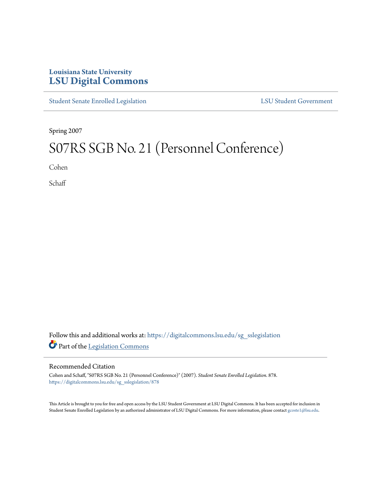## **Louisiana State University [LSU Digital Commons](https://digitalcommons.lsu.edu?utm_source=digitalcommons.lsu.edu%2Fsg_sslegislation%2F878&utm_medium=PDF&utm_campaign=PDFCoverPages)**

[Student Senate Enrolled Legislation](https://digitalcommons.lsu.edu/sg_sslegislation?utm_source=digitalcommons.lsu.edu%2Fsg_sslegislation%2F878&utm_medium=PDF&utm_campaign=PDFCoverPages) [LSU Student Government](https://digitalcommons.lsu.edu/sg?utm_source=digitalcommons.lsu.edu%2Fsg_sslegislation%2F878&utm_medium=PDF&utm_campaign=PDFCoverPages)

Spring 2007

## S07RS SGB No. 21 (Personnel Conference)

Cohen

**Schaff** 

Follow this and additional works at: [https://digitalcommons.lsu.edu/sg\\_sslegislation](https://digitalcommons.lsu.edu/sg_sslegislation?utm_source=digitalcommons.lsu.edu%2Fsg_sslegislation%2F878&utm_medium=PDF&utm_campaign=PDFCoverPages) Part of the [Legislation Commons](http://network.bepress.com/hgg/discipline/859?utm_source=digitalcommons.lsu.edu%2Fsg_sslegislation%2F878&utm_medium=PDF&utm_campaign=PDFCoverPages)

## Recommended Citation

Cohen and Schaff, "S07RS SGB No. 21 (Personnel Conference)" (2007). *Student Senate Enrolled Legislation*. 878. [https://digitalcommons.lsu.edu/sg\\_sslegislation/878](https://digitalcommons.lsu.edu/sg_sslegislation/878?utm_source=digitalcommons.lsu.edu%2Fsg_sslegislation%2F878&utm_medium=PDF&utm_campaign=PDFCoverPages)

This Article is brought to you for free and open access by the LSU Student Government at LSU Digital Commons. It has been accepted for inclusion in Student Senate Enrolled Legislation by an authorized administrator of LSU Digital Commons. For more information, please contact [gcoste1@lsu.edu.](mailto:gcoste1@lsu.edu)